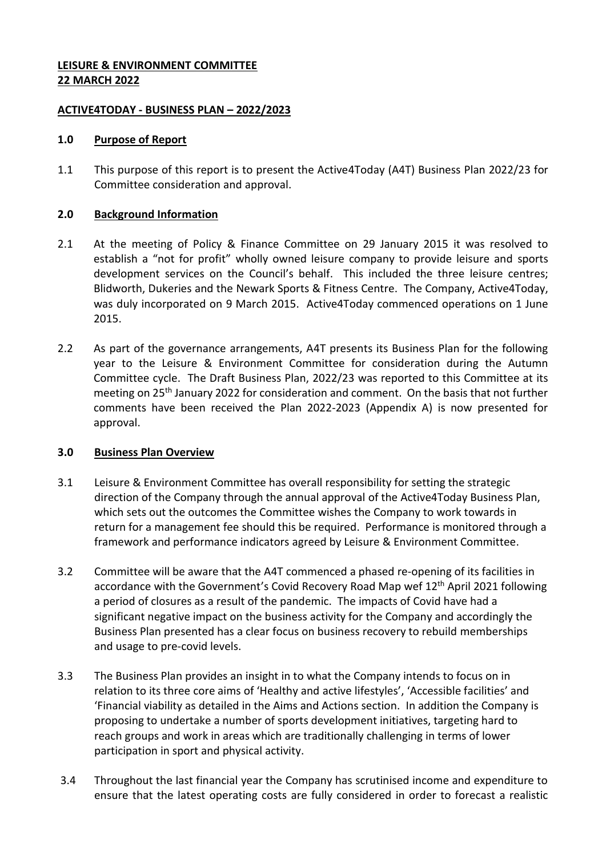## **LEISURE & ENVIRONMENT COMMITTEE 22 MARCH 2022**

### **ACTIVE4TODAY - BUSINESS PLAN – 2022/2023**

### **1.0 Purpose of Report**

1.1 This purpose of this report is to present the Active4Today (A4T) Business Plan 2022/23 for Committee consideration and approval.

## **2.0 Background Information**

- 2.1 At the meeting of Policy & Finance Committee on 29 January 2015 it was resolved to establish a "not for profit" wholly owned leisure company to provide leisure and sports development services on the Council's behalf. This included the three leisure centres; Blidworth, Dukeries and the Newark Sports & Fitness Centre. The Company, Active4Today, was duly incorporated on 9 March 2015. Active4Today commenced operations on 1 June 2015.
- 2.2 As part of the governance arrangements, A4T presents its Business Plan for the following year to the Leisure & Environment Committee for consideration during the Autumn Committee cycle. The Draft Business Plan, 2022/23 was reported to this Committee at its meeting on 25th January 2022 for consideration and comment. On the basis that not further comments have been received the Plan 2022-2023 (Appendix A) is now presented for approval.

# **3.0 Business Plan Overview**

- 3.1 Leisure & Environment Committee has overall responsibility for setting the strategic direction of the Company through the annual approval of the Active4Today Business Plan, which sets out the outcomes the Committee wishes the Company to work towards in return for a management fee should this be required. Performance is monitored through a framework and performance indicators agreed by Leisure & Environment Committee.
- 3.2 Committee will be aware that the A4T commenced a phased re-opening of its facilities in accordance with the Government's Covid Recovery Road Map wef 12<sup>th</sup> April 2021 following a period of closures as a result of the pandemic. The impacts of Covid have had a significant negative impact on the business activity for the Company and accordingly the Business Plan presented has a clear focus on business recovery to rebuild memberships and usage to pre-covid levels.
- 3.3 The Business Plan provides an insight in to what the Company intends to focus on in relation to its three core aims of 'Healthy and active lifestyles', 'Accessible facilities' and 'Financial viability as detailed in the Aims and Actions section. In addition the Company is proposing to undertake a number of sports development initiatives, targeting hard to reach groups and work in areas which are traditionally challenging in terms of lower participation in sport and physical activity.
- 3.4 Throughout the last financial year the Company has scrutinised income and expenditure to ensure that the latest operating costs are fully considered in order to forecast a realistic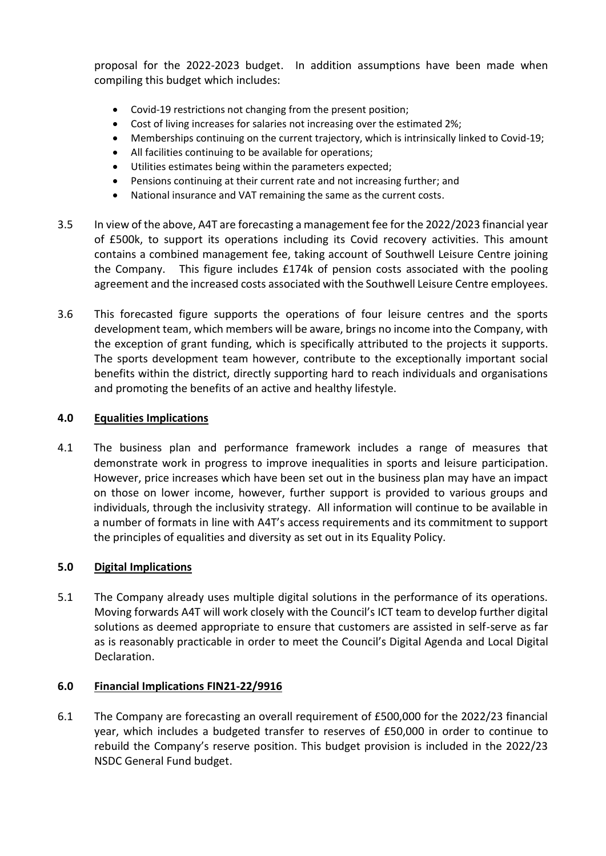proposal for the 2022-2023 budget. In addition assumptions have been made when compiling this budget which includes:

- Covid-19 restrictions not changing from the present position;
- Cost of living increases for salaries not increasing over the estimated 2%;
- Memberships continuing on the current trajectory, which is intrinsically linked to Covid-19;
- All facilities continuing to be available for operations;
- Utilities estimates being within the parameters expected;
- Pensions continuing at their current rate and not increasing further; and
- National insurance and VAT remaining the same as the current costs.
- 3.5 In view of the above, A4T are forecasting a management fee for the 2022/2023 financial year of £500k, to support its operations including its Covid recovery activities. This amount contains a combined management fee, taking account of Southwell Leisure Centre joining the Company. This figure includes £174k of pension costs associated with the pooling agreement and the increased costs associated with the Southwell Leisure Centre employees.
- 3.6 This forecasted figure supports the operations of four leisure centres and the sports development team, which members will be aware, brings no income into the Company, with the exception of grant funding, which is specifically attributed to the projects it supports. The sports development team however, contribute to the exceptionally important social benefits within the district, directly supporting hard to reach individuals and organisations and promoting the benefits of an active and healthy lifestyle.

## **4.0 Equalities Implications**

4.1 The business plan and performance framework includes a range of measures that demonstrate work in progress to improve inequalities in sports and leisure participation. However, price increases which have been set out in the business plan may have an impact on those on lower income, however, further support is provided to various groups and individuals, through the inclusivity strategy. All information will continue to be available in a number of formats in line with A4T's access requirements and its commitment to support the principles of equalities and diversity as set out in its Equality Policy.

#### **5.0 Digital Implications**

5.1 The Company already uses multiple digital solutions in the performance of its operations. Moving forwards A4T will work closely with the Council's ICT team to develop further digital solutions as deemed appropriate to ensure that customers are assisted in self-serve as far as is reasonably practicable in order to meet the Council's Digital Agenda and Local Digital Declaration.

#### **6.0 Financial Implications FIN21-22/9916**

6.1 The Company are forecasting an overall requirement of £500,000 for the 2022/23 financial year, which includes a budgeted transfer to reserves of £50,000 in order to continue to rebuild the Company's reserve position. This budget provision is included in the 2022/23 NSDC General Fund budget.